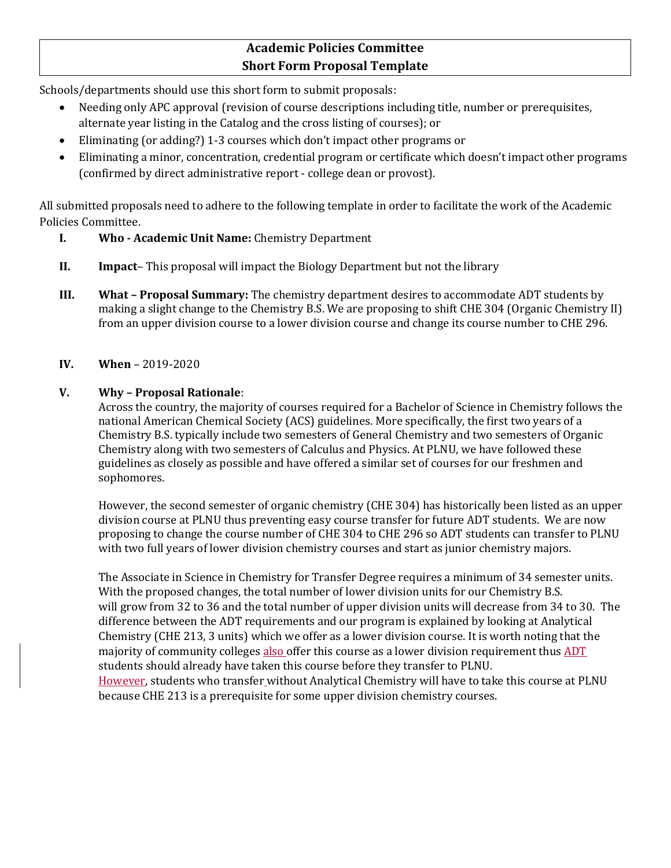### **Academic Policies Committee Short Form Proposal Template**

Schools/departments should use this short form to submit proposals:

- Needing only APC approval (revision of course descriptions including title, number or prerequisites, alternate year listing in the Catalog and the cross listing of courses); or
- Eliminating (or adding?) 1-3 courses which don't impact other programs or
- Eliminating a minor, concentration, credential program or certificate which doesn't impact other programs (confirmed by direct administrative report - college dean or provost).

All submitted proposals need to adhere to the following template in order to facilitate the work of the Academic Policies Committee.

- **I. Who - Academic Unit Name:** Chemistry Department
- **II. Impact** This proposal will impact the Biology Department but not the library
- **III. What – Proposal Summary:** The chemistry department desires to accommodate ADT students by making a slight change to the Chemistry B.S. We are proposing to shift CHE 304 (Organic Chemistry II) from an upper division course to a lower division course and change its course number to CHE 296.

#### **IV. When** – 2019-2020

#### **V. Why – Proposal Rationale**:

Across the country, the majority of courses required for a Bachelor of Science in Chemistry follows the national American Chemical Society (ACS) guidelines. More specifically, the first two years of a Chemistry B.S. typically include two semesters of General Chemistry and two semesters of Organic Chemistry along with two semesters of Calculus and Physics. At PLNU, we have followed these guidelines as closely as possible and have offered a similar set of courses for our freshmen and sophomores.

However, the second semester of organic chemistry (CHE 304) has historically been listed as an upper division course at PLNU thus preventing easy course transfer for future ADT students. We are now proposing to change the course number of CHE 304 to CHE 296 so ADT students can transfer to PLNU with two full years of lower division chemistry courses and start as junior chemistry majors.

The Associate in Science in Chemistry for Transfer Degree requires a minimum of 34 semester units. With the proposed changes, the total number of lower division units for our Chemistry B.S. will grow from 32 to 36 and the total number of upper division units will decrease from 34 to 30. The difference between the ADT requirements and our program is explained by looking at Analytical Chemistry (CHE 213, 3 units) which we offer as a lower division course. It is worth noting that the majority of community colleges also offer this course as a lower division requirement thus ADT students should already have taken this course before they transfer to PLNU. However, students who transfer without Analytical Chemistry will have to take this course at PLNU because CHE 213 is a prerequisite for some upper division chemistry courses.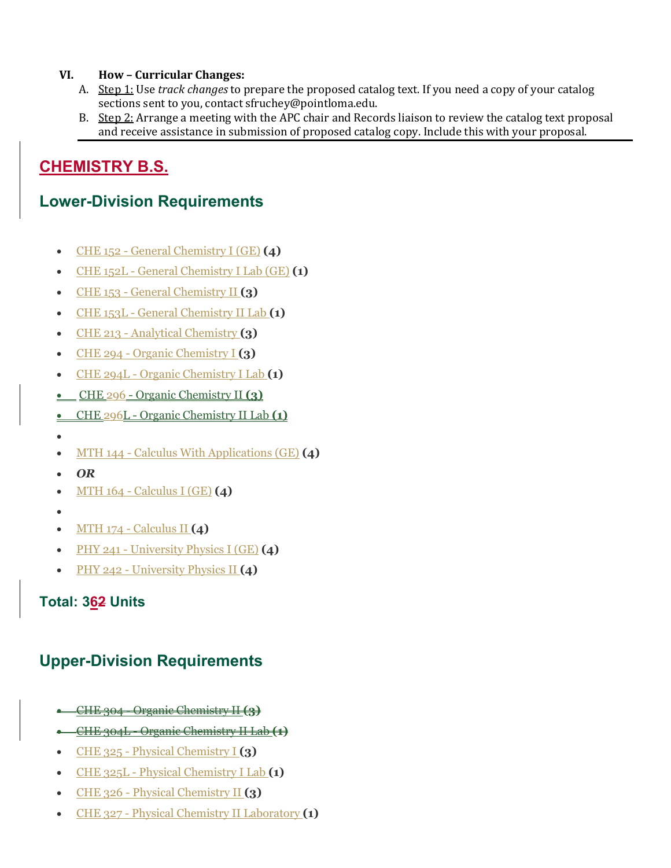#### **VI. How – Curricular Changes:**

- A. Step 1: Use *track changes* to prepare the proposed catalog text. If you need a copy of your catalog sections sent to you, contact sfruchey@pointloma.edu.
- B. Step 2: Arrange a meeting with the APC chair and Records liaison to review the catalog text proposal and receive assistance in submission of proposed catalog copy. Include this with your proposal.

## **CHEMISTRY B.S.**

## **Lower-Division Requirements**

- CHE 152 [General Chemistry I \(GE\)](https://catalog.pointloma.edu/preview_program.php?catoid=35&poid=2478) **(4)**
- CHE 152L [General Chemistry I Lab \(GE\)](https://catalog.pointloma.edu/preview_program.php?catoid=35&poid=2478) **(1)**
- CHE 153 [General Chemistry II](https://catalog.pointloma.edu/preview_program.php?catoid=35&poid=2478) **(3)**
- CHE 153L [General Chemistry II Lab](https://catalog.pointloma.edu/preview_program.php?catoid=35&poid=2478) **(1)**
- CHE 213 [Analytical Chemistry](https://catalog.pointloma.edu/preview_program.php?catoid=35&poid=2478) **(3)**
- CHE 294 [Organic Chemistry I](https://catalog.pointloma.edu/preview_program.php?catoid=35&poid=2478) **(3)**
- CHE 294L [Organic Chemistry I Lab](https://catalog.pointloma.edu/preview_program.php?catoid=35&poid=2478) **(1)**
- CHE 296 [Organic Chemistry II](https://catalog.pointloma.edu/preview_program.php?catoid=35&poid=2478) **(3)**
- CHE 296L [Organic Chemistry II Lab](https://catalog.pointloma.edu/preview_program.php?catoid=35&poid=2478) **(1)**
- •
- MTH 144 [Calculus With Applications \(GE\)](https://catalog.pointloma.edu/preview_program.php?catoid=35&poid=2478) **(4)**
- *OR*
- MTH 164 [Calculus I \(GE\)](https://catalog.pointloma.edu/preview_program.php?catoid=35&poid=2478) **(4)**
- •
- MTH 174 [Calculus II](https://catalog.pointloma.edu/preview_program.php?catoid=35&poid=2478) **(4)**
- PHY 241 [University Physics I \(GE\)](https://catalog.pointloma.edu/preview_program.php?catoid=35&poid=2478) **(4)**
- PHY 242 [University Physics II](https://catalog.pointloma.edu/preview_program.php?catoid=35&poid=2478) **(4)**

### **Total: 362 Units**

# **Upper-Division Requirements**

- CHE 304 [Organic Chemistry II](https://catalog.pointloma.edu/preview_program.php?catoid=35&poid=2478) **(3)**
- CHE 304L [Organic Chemistry II Lab](https://catalog.pointloma.edu/preview_program.php?catoid=35&poid=2478) **(1)**
- CHE 325 [Physical Chemistry I](https://catalog.pointloma.edu/preview_program.php?catoid=35&poid=2478) **(3)**
- CHE 325L [Physical Chemistry I Lab](https://catalog.pointloma.edu/preview_program.php?catoid=35&poid=2478) **(1)**
- CHE 326 [Physical Chemistry II](https://catalog.pointloma.edu/preview_program.php?catoid=35&poid=2478) **(3)**
- CHE 327 [Physical Chemistry](https://catalog.pointloma.edu/preview_program.php?catoid=35&poid=2478) II Laboratory **(1)**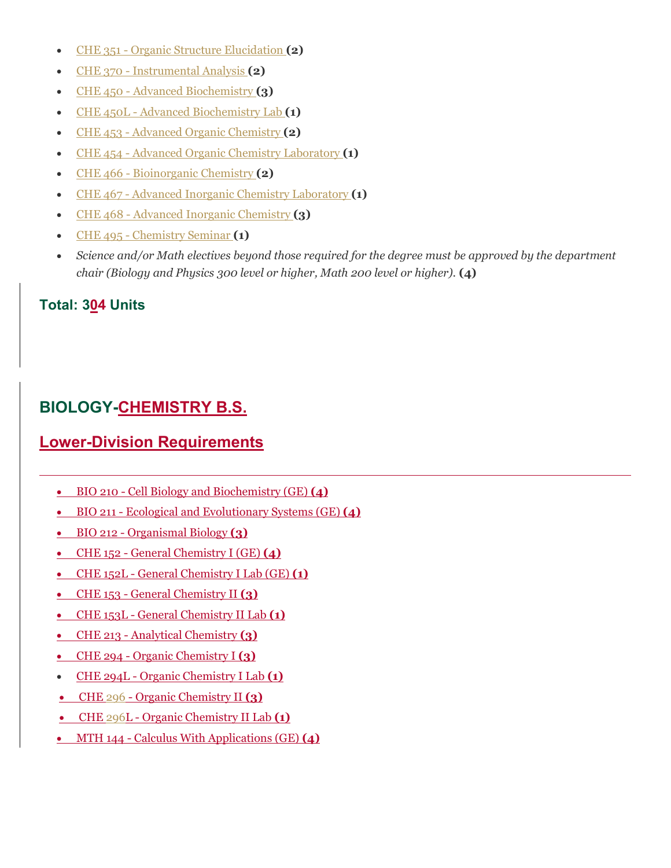- CHE 351 [Organic Structure Elucidation](https://catalog.pointloma.edu/preview_program.php?catoid=35&poid=2478) **(2)**
- CHE 370 [Instrumental Analysis](https://catalog.pointloma.edu/preview_program.php?catoid=35&poid=2478) **(2)**
- CHE 450 [Advanced Biochemistry](https://catalog.pointloma.edu/preview_program.php?catoid=35&poid=2478) **(3)**
- CHE 450L [Advanced Biochemistry Lab](https://catalog.pointloma.edu/preview_program.php?catoid=35&poid=2478) **(1)**
- CHE 453 [Advanced Organic Chemistry](https://catalog.pointloma.edu/preview_program.php?catoid=35&poid=2478) **(2)**
- CHE 454 [Advanced Organic Chemistry Laboratory](https://catalog.pointloma.edu/preview_program.php?catoid=35&poid=2478) **(1)**
- CHE 466 [Bioinorganic Chemistry](https://catalog.pointloma.edu/preview_program.php?catoid=35&poid=2478) **(2)**
- CHE 467 [Advanced Inorganic Chemistry Laboratory](https://catalog.pointloma.edu/preview_program.php?catoid=35&poid=2478) **(1)**
- CHE 468 [Advanced Inorganic Chemistry](https://catalog.pointloma.edu/preview_program.php?catoid=35&poid=2478) **(3)**
- CHE 495 [Chemistry Seminar](https://catalog.pointloma.edu/preview_program.php?catoid=35&poid=2478) **(1)**
- *Science and/or Math electives beyond those required for the degree must be approved by the department chair (Biology and Physics 300 level or higher, Math 200 level or higher).* **(4)**

### **Total: 304 Units**

# **BIOLOGY-CHEMISTRY B.S.**

# **Lower-Division Requirements**

- BIO 210 [Cell Biology and Biochemistry \(GE\)](https://catalog.pointloma.edu/preview_program.php?catoid=35&poid=2479) **(4)**
- BIO 211 [Ecological and Evolutionary Systems \(GE\)](https://catalog.pointloma.edu/preview_program.php?catoid=35&poid=2479) **(4)**
- BIO 212 [Organismal Biology](https://catalog.pointloma.edu/preview_program.php?catoid=35&poid=2479) **(3)**
- CHE 152 General [Chemistry I \(GE\)](https://catalog.pointloma.edu/preview_program.php?catoid=35&poid=2479) **(4)**
- CHE 152L [General Chemistry I Lab \(GE\)](https://catalog.pointloma.edu/preview_program.php?catoid=35&poid=2479) **(1)**
- CHE 153 [General Chemistry II](https://catalog.pointloma.edu/preview_program.php?catoid=35&poid=2479) **(3)**
- CHE 153L [General Chemistry II Lab](https://catalog.pointloma.edu/preview_program.php?catoid=35&poid=2479) **(1)**
- CHE 213 [Analytical Chemistry](https://catalog.pointloma.edu/preview_program.php?catoid=35&poid=2479) **(3)**
- CHE 294 [Organic Chemistry I](https://catalog.pointloma.edu/preview_program.php?catoid=35&poid=2479) **(3)**
- CHE 294L [Organic Chemistry I Lab](https://catalog.pointloma.edu/preview_program.php?catoid=35&poid=2479) **(1)**
- CHE 296 [Organic Chemistry II](https://catalog.pointloma.edu/preview_program.php?catoid=35&poid=2479) **(3)**
- CHE 296L [Organic Chemistry II Lab](https://catalog.pointloma.edu/preview_program.php?catoid=35&poid=2479) **(1)**
- MTH 144 [Calculus With Applications \(GE\)](https://catalog.pointloma.edu/preview_program.php?catoid=35&poid=2479) **(4)**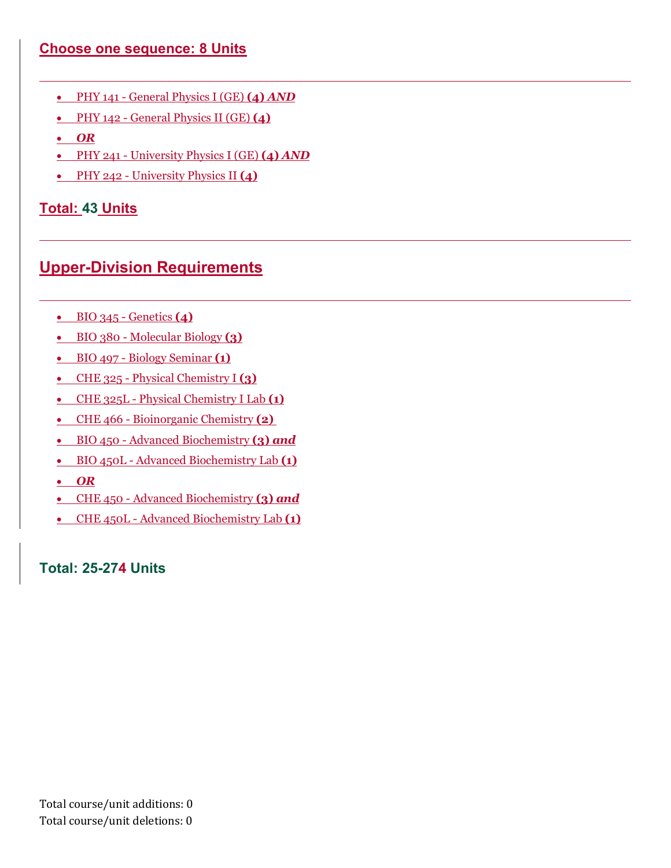#### **Choose one sequence: 8 Units**

- PHY 141 [General Physics I \(GE\)](https://catalog.pointloma.edu/preview_program.php?catoid=35&poid=2479) **(4)** *AND*
- PHY 142 [General Physics II \(GE\)](https://catalog.pointloma.edu/preview_program.php?catoid=35&poid=2479) **(4)**
- *OR*
- PHY 241 [University Physics I \(GE\)](https://catalog.pointloma.edu/preview_program.php?catoid=35&poid=2479) **(4)** *AND*
- PHY 242 [University Physics II](https://catalog.pointloma.edu/preview_program.php?catoid=35&poid=2479) **(4)**

### **Total: 43 Units**

## **Upper-Division Requirements**

- [BIO 345 -](https://catalog.pointloma.edu/preview_program.php?catoid=35&poid=2479) Genetics **(4)**
- BIO 380 [Molecular Biology](https://catalog.pointloma.edu/preview_program.php?catoid=35&poid=2479) **(3)**
- BIO 497 [Biology Seminar](https://catalog.pointloma.edu/preview_program.php?catoid=35&poid=2479) **(1)**
- CHE 325 [Physical Chemistry I](https://catalog.pointloma.edu/preview_program.php?catoid=35&poid=2479) **(3)**
- CHE 325L [Physical Chemistry I Lab](https://catalog.pointloma.edu/preview_program.php?catoid=35&poid=2479) **(1)**
- CHE 466 [Bioinorganic Chemistry](https://catalog.pointloma.edu/preview_program.php?catoid=35&poid=2479) **(2)**
- BIO 450 [Advanced Biochemistry](https://catalog.pointloma.edu/preview_program.php?catoid=35&poid=2479) **(3)** *and*
- BIO 450L [Advanced Biochemistry Lab](https://catalog.pointloma.edu/preview_program.php?catoid=35&poid=2479) **(1)**
- *OR*
- CHE 450 [Advanced Biochemistry](https://catalog.pointloma.edu/preview_program.php?catoid=35&poid=2479) **(3)** *and*
- CHE 450L [Advanced Biochemistry Lab](https://catalog.pointloma.edu/preview_program.php?catoid=35&poid=2479) **(1)**

**Total: 25-274 Units**